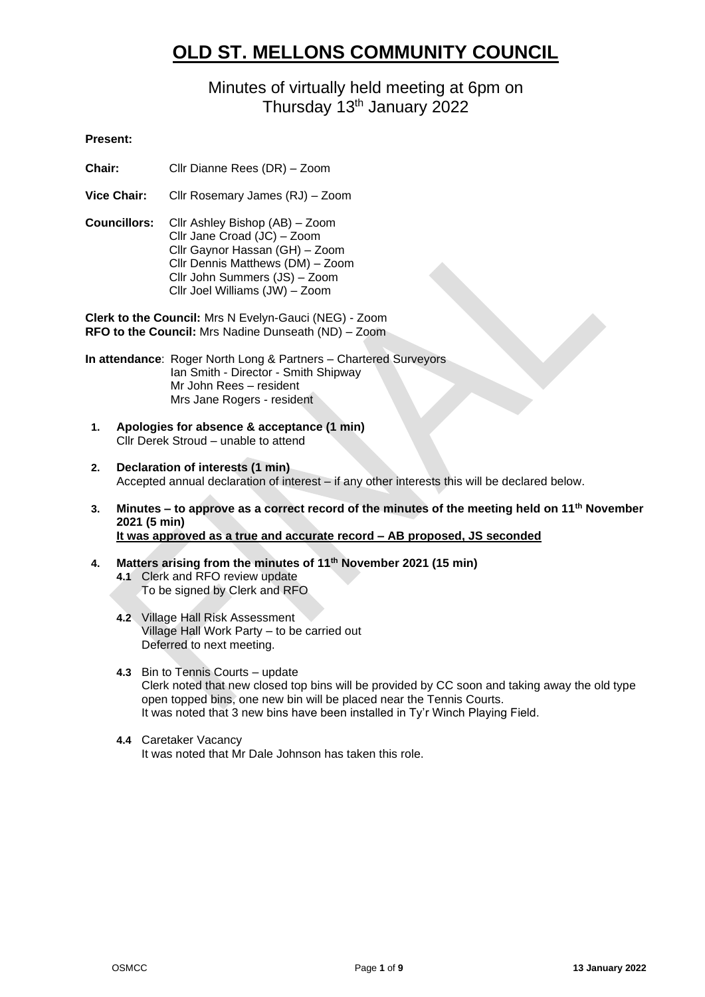# **OLD ST. MELLONS COMMUNITY COUNCIL**

# Minutes of virtually held meeting at 6pm on Thursday 13<sup>th</sup> January 2022

# **Present:**

- **Chair:** Cllr Dianne Rees (DR) Zoom
- **Vice Chair:** Cllr Rosemary James (RJ) Zoom
- **Councillors:** Cllr Ashley Bishop (AB) Zoom Cllr Jane Croad (JC) – Zoom Cllr Gaynor Hassan (GH) – Zoom Cllr Dennis Matthews (DM) – Zoom Cllr John Summers (JS) – Zoom Cllr Joel Williams (JW) – Zoom

**Clerk to the Council:** Mrs N Evelyn-Gauci (NEG) - Zoom **RFO to the Council:** Mrs Nadine Dunseath (ND) – Zoom

**In attendance**: Roger North Long & Partners – Chartered Surveyors Ian Smith - Director - Smith Shipway Mr John Rees – resident Mrs Jane Rogers - resident

- **1. Apologies for absence & acceptance (1 min)** Cllr Derek Stroud – unable to attend
- **2. Declaration of interests (1 min)** Accepted annual declaration of interest – if any other interests this will be declared below.
- **3. Minutes – to approve as a correct record of the minutes of the meeting held on 11th November 2021 (5 min) It was approved as a true and accurate record – AB proposed, JS seconded**
- **4. Matters arising from the minutes of 11th November 2021 (15 min) 4.1** Clerk and RFO review update To be signed by Clerk and RFO
	- **4.2** Village Hall Risk Assessment Village Hall Work Party – to be carried out Deferred to next meeting.
	- **4.3** Bin to Tennis Courts update Clerk noted that new closed top bins will be provided by CC soon and taking away the old type open topped bins, one new bin will be placed near the Tennis Courts. It was noted that 3 new bins have been installed in Ty'r Winch Playing Field.
	- **4.4** Caretaker Vacancy It was noted that Mr Dale Johnson has taken this role.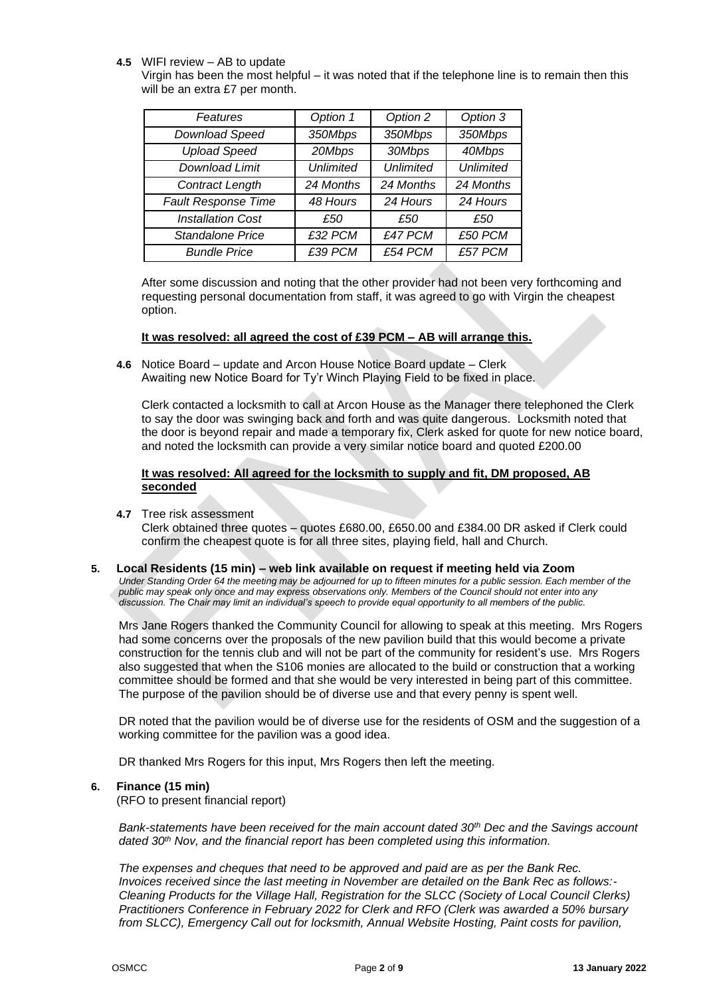### **4.5** WIFI review – AB to update

Virgin has been the most helpful – it was noted that if the telephone line is to remain then this will be an extra £7 per month.

| Features                   | Option 1         | Option 2         | Option 3         |
|----------------------------|------------------|------------------|------------------|
| Download Speed             | 350Mbps          | 350Mbps          | 350Mbps          |
| <b>Upload Speed</b>        | 20Mbps           | 30Mbps           | 40Mbps           |
| <b>Download Limit</b>      | <b>Unlimited</b> | <b>Unlimited</b> | <b>Unlimited</b> |
| Contract Length            | 24 Months        | 24 Months        | 24 Months        |
| <b>Fault Response Time</b> | 48 Hours         | 24 Hours         | 24 Hours         |
| <b>Installation Cost</b>   | £50              | £50              | £50              |
| Standalone Price           | £32 PCM          | £47 PCM          | £50 PCM          |
| <b>Bundle Price</b>        | £39 PCM          | £54 PCM          | £57 PCM          |

After some discussion and noting that the other provider had not been very forthcoming and requesting personal documentation from staff, it was agreed to go with Virgin the cheapest option.

# **It was resolved: all agreed the cost of £39 PCM – AB will arrange this.**

**4.6** Notice Board – update and Arcon House Notice Board update – Clerk Awaiting new Notice Board for Ty'r Winch Playing Field to be fixed in place.

Clerk contacted a locksmith to call at Arcon House as the Manager there telephoned the Clerk to say the door was swinging back and forth and was quite dangerous. Locksmith noted that the door is beyond repair and made a temporary fix, Clerk asked for quote for new notice board, and noted the locksmith can provide a very similar notice board and quoted £200.00

# **It was resolved: All agreed for the locksmith to supply and fit, DM proposed, AB seconded**

**4.7** Tree risk assessment

Clerk obtained three quotes – quotes £680.00, £650.00 and £384.00 DR asked if Clerk could confirm the cheapest quote is for all three sites, playing field, hall and Church.

#### **5. Local Residents (15 min) – web link available on request if meeting held via Zoom**

*Under Standing Order 64 the meeting may be adjourned for up to fifteen minutes for a public session. Each member of the public may speak only once and may express observations only. Members of the Council should not enter into any discussion. The Chair may limit an individual's speech to provide equal opportunity to all members of the public.*

Mrs Jane Rogers thanked the Community Council for allowing to speak at this meeting. Mrs Rogers had some concerns over the proposals of the new pavilion build that this would become a private construction for the tennis club and will not be part of the community for resident's use. Mrs Rogers also suggested that when the S106 monies are allocated to the build or construction that a working committee should be formed and that she would be very interested in being part of this committee. The purpose of the pavilion should be of diverse use and that every penny is spent well.

DR noted that the pavilion would be of diverse use for the residents of OSM and the suggestion of a working committee for the pavilion was a good idea.

DR thanked Mrs Rogers for this input, Mrs Rogers then left the meeting.

# **6. Finance (15 min)**

(RFO to present financial report)

*Bank-statements have been received for the main account dated 30th Dec and the Savings account dated 30th Nov, and the financial report has been completed using this information.*

*The expenses and cheques that need to be approved and paid are as per the Bank Rec. Invoices received since the last meeting in November are detailed on the Bank Rec as follows:- Cleaning Products for the Village Hall, Registration for the SLCC (Society of Local Council Clerks) Practitioners Conference in February 2022 for Clerk and RFO (Clerk was awarded a 50% bursary from SLCC), Emergency Call out for locksmith, Annual Website Hosting, Paint costs for pavilion,*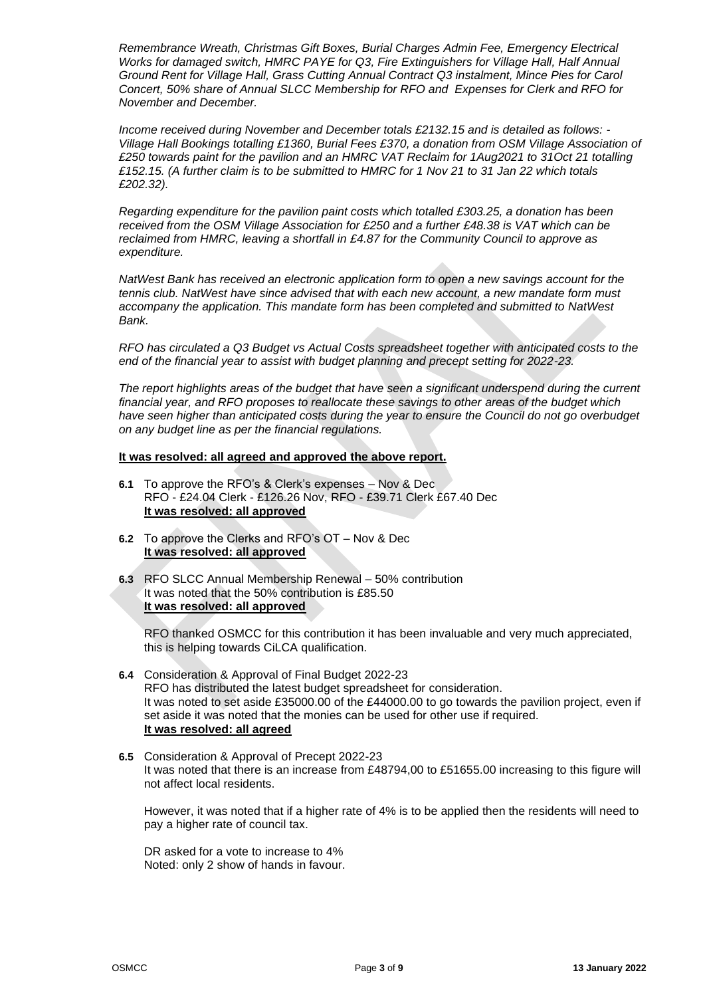*Remembrance Wreath, Christmas Gift Boxes, Burial Charges Admin Fee, Emergency Electrical Works for damaged switch, HMRC PAYE for Q3, Fire Extinguishers for Village Hall, Half Annual Ground Rent for Village Hall, Grass Cutting Annual Contract Q3 instalment, Mince Pies for Carol Concert, 50% share of Annual SLCC Membership for RFO and Expenses for Clerk and RFO for November and December.*

*Income received during November and December totals £2132.15 and is detailed as follows: - Village Hall Bookings totalling £1360, Burial Fees £370, a donation from OSM Village Association of £250 towards paint for the pavilion and an HMRC VAT Reclaim for 1Aug2021 to 31Oct 21 totalling £152.15. (A further claim is to be submitted to HMRC for 1 Nov 21 to 31 Jan 22 which totals £202.32).*

*Regarding expenditure for the pavilion paint costs which totalled £303.25, a donation has been received from the OSM Village Association for £250 and a further £48.38 is VAT which can be reclaimed from HMRC, leaving a shortfall in £4.87 for the Community Council to approve as expenditure.*

*NatWest Bank has received an electronic application form to open a new savings account for the tennis club. NatWest have since advised that with each new account, a new mandate form must accompany the application. This mandate form has been completed and submitted to NatWest Bank.*

*RFO has circulated a Q3 Budget vs Actual Costs spreadsheet together with anticipated costs to the end of the financial year to assist with budget planning and precept setting for 2022-23.*

*The report highlights areas of the budget that have seen a significant underspend during the current financial year, and RFO proposes to reallocate these savings to other areas of the budget which*  have seen higher than anticipated costs during the year to ensure the Council do not go overbudget *on any budget line as per the financial regulations.*

#### **It was resolved: all agreed and approved the above report.**

- **6.1** To approve the RFO's & Clerk's expenses Nov & Dec RFO - £24.04 Clerk - £126.26 Nov, RFO - £39.71 Clerk £67.40 Dec **It was resolved: all approved**
- **6.2** To approve the Clerks and RFO's OT Nov & Dec **It was resolved: all approved**
- **6.3** RFO SLCC Annual Membership Renewal 50% contribution It was noted that the 50% contribution is £85.50 **It was resolved: all approved**

RFO thanked OSMCC for this contribution it has been invaluable and very much appreciated, this is helping towards CiLCA qualification.

- **6.4** Consideration & Approval of Final Budget 2022-23 RFO has distributed the latest budget spreadsheet for consideration. It was noted to set aside £35000.00 of the £44000.00 to go towards the pavilion project, even if set aside it was noted that the monies can be used for other use if required. **It was resolved: all agreed**
- **6.5** Consideration & Approval of Precept 2022-23 It was noted that there is an increase from £48794,00 to £51655.00 increasing to this figure will not affect local residents.

However, it was noted that if a higher rate of 4% is to be applied then the residents will need to pay a higher rate of council tax.

DR asked for a vote to increase to 4% Noted: only 2 show of hands in favour.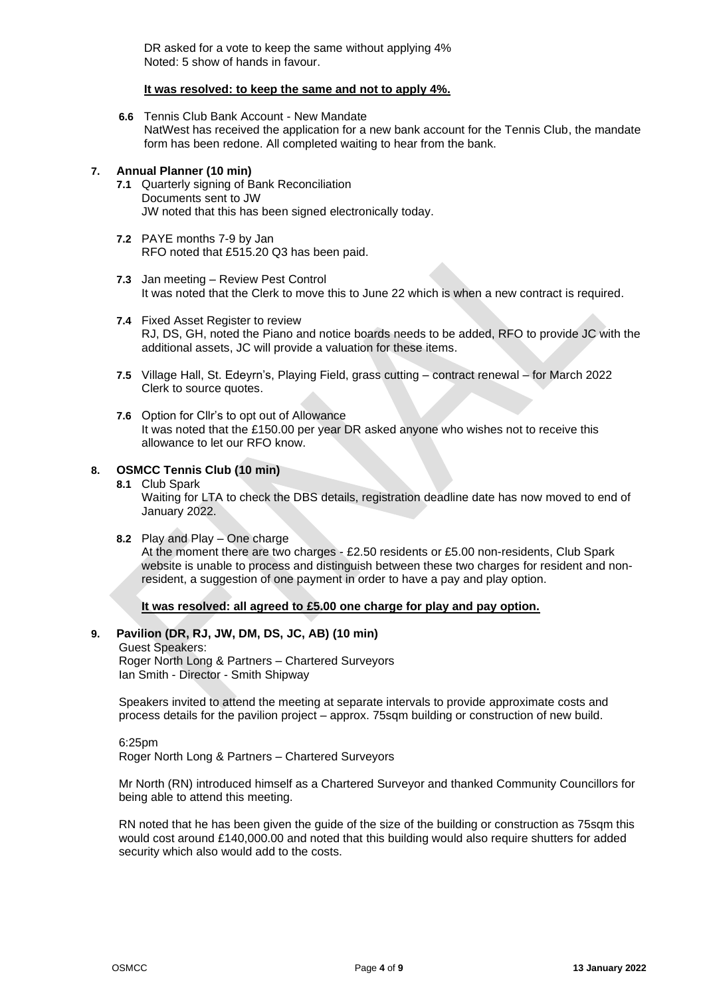DR asked for a vote to keep the same without applying 4% Noted: 5 show of hands in favour.

### **It was resolved: to keep the same and not to apply 4%.**

**6.6** Tennis Club Bank Account - New Mandate NatWest has received the application for a new bank account for the Tennis Club, the mandate form has been redone. All completed waiting to hear from the bank.

# **7. Annual Planner (10 min)**

- **7.1** Quarterly signing of Bank Reconciliation Documents sent to JW JW noted that this has been signed electronically today.
- **7.2** PAYE months 7-9 by Jan RFO noted that £515.20 Q3 has been paid.
- **7.3** Jan meeting Review Pest Control It was noted that the Clerk to move this to June 22 which is when a new contract is required.
- **7.4** Fixed Asset Register to review RJ, DS, GH, noted the Piano and notice boards needs to be added, RFO to provide JC with the additional assets, JC will provide a valuation for these items.
- **7.5** Village Hall, St. Edeyrn's, Playing Field, grass cutting contract renewal for March 2022 Clerk to source quotes.
- **7.6** Option for Cllr's to opt out of Allowance It was noted that the £150.00 per year DR asked anyone who wishes not to receive this allowance to let our RFO know.

# **8. OSMCC Tennis Club (10 min)**

- **8.1** Club Spark Waiting for LTA to check the DBS details, registration deadline date has now moved to end of January 2022.
- **8.2** Play and Play One charge

At the moment there are two charges - £2.50 residents or £5.00 non-residents, Club Spark website is unable to process and distinguish between these two charges for resident and nonresident, a suggestion of one payment in order to have a pay and play option.

**It was resolved: all agreed to £5.00 one charge for play and pay option.**

# **9. Pavilion (DR, RJ, JW, DM, DS, JC, AB) (10 min)**

Guest Speakers: Roger North Long & Partners – Chartered Surveyors Ian Smith - Director - Smith Shipway

Speakers invited to attend the meeting at separate intervals to provide approximate costs and process details for the pavilion project – approx. 75sqm building or construction of new build.

#### 6:25pm

Roger North Long & Partners – Chartered Surveyors

Mr North (RN) introduced himself as a Chartered Surveyor and thanked Community Councillors for being able to attend this meeting.

RN noted that he has been given the guide of the size of the building or construction as 75 sqm this would cost around £140,000.00 and noted that this building would also require shutters for added security which also would add to the costs.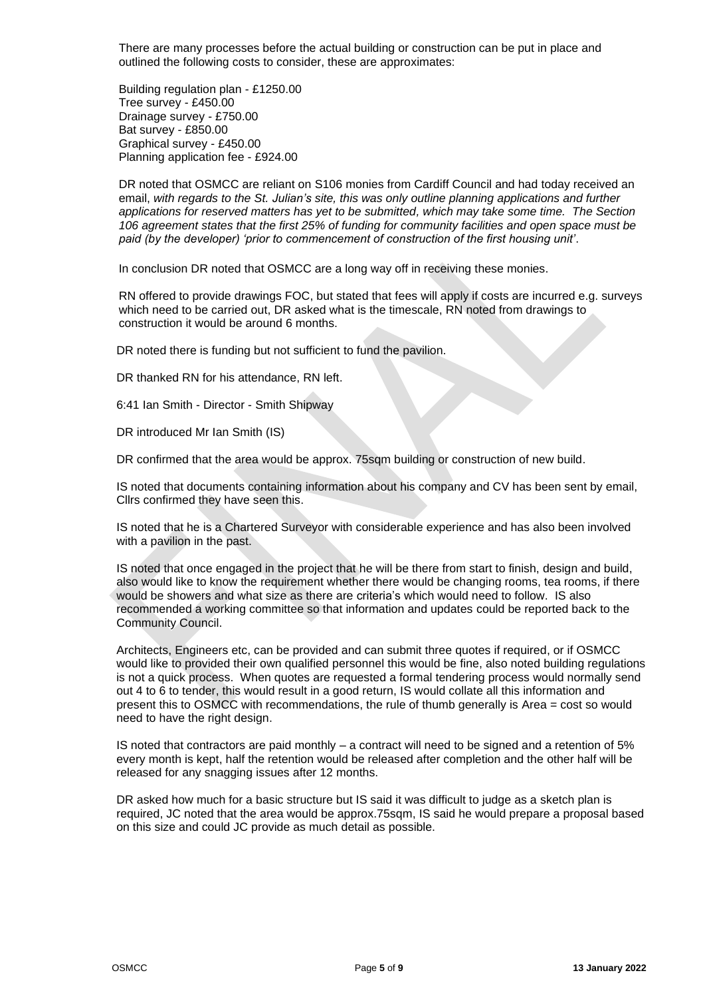There are many processes before the actual building or construction can be put in place and outlined the following costs to consider, these are approximates:

Building regulation plan - £1250.00 Tree survey - £450.00 Drainage survey - £750.00 Bat survey - £850.00 Graphical survey - £450.00 Planning application fee - £924.00

DR noted that OSMCC are reliant on S106 monies from Cardiff Council and had today received an email, *with regards to the St. Julian's site, this was only outline planning applications and further applications for reserved matters has yet to be submitted, which may take some time. The Section 106 agreement states that the first 25% of funding for community facilities and open space must be paid (by the developer) 'prior to commencement of construction of the first housing unit'*.

In conclusion DR noted that OSMCC are a long way off in receiving these monies.

RN offered to provide drawings FOC, but stated that fees will apply if costs are incurred e.g. surveys which need to be carried out, DR asked what is the timescale, RN noted from drawings to construction it would be around 6 months.

DR noted there is funding but not sufficient to fund the pavilion.

DR thanked RN for his attendance, RN left.

6:41 Ian Smith - Director - Smith Shipway

DR introduced Mr Ian Smith (IS)

DR confirmed that the area would be approx. 75sqm building or construction of new build.

IS noted that documents containing information about his company and CV has been sent by email, Cllrs confirmed they have seen this.

IS noted that he is a Chartered Surveyor with considerable experience and has also been involved with a pavilion in the past.

IS noted that once engaged in the project that he will be there from start to finish, design and build, also would like to know the requirement whether there would be changing rooms, tea rooms, if there would be showers and what size as there are criteria's which would need to follow. IS also recommended a working committee so that information and updates could be reported back to the Community Council.

Architects, Engineers etc, can be provided and can submit three quotes if required, or if OSMCC would like to provided their own qualified personnel this would be fine, also noted building regulations is not a quick process. When quotes are requested a formal tendering process would normally send out 4 to 6 to tender, this would result in a good return, IS would collate all this information and present this to OSMCC with recommendations, the rule of thumb generally is Area = cost so would need to have the right design.

IS noted that contractors are paid monthly – a contract will need to be signed and a retention of 5% every month is kept, half the retention would be released after completion and the other half will be released for any snagging issues after 12 months.

DR asked how much for a basic structure but IS said it was difficult to judge as a sketch plan is required, JC noted that the area would be approx.75sqm, IS said he would prepare a proposal based on this size and could JC provide as much detail as possible.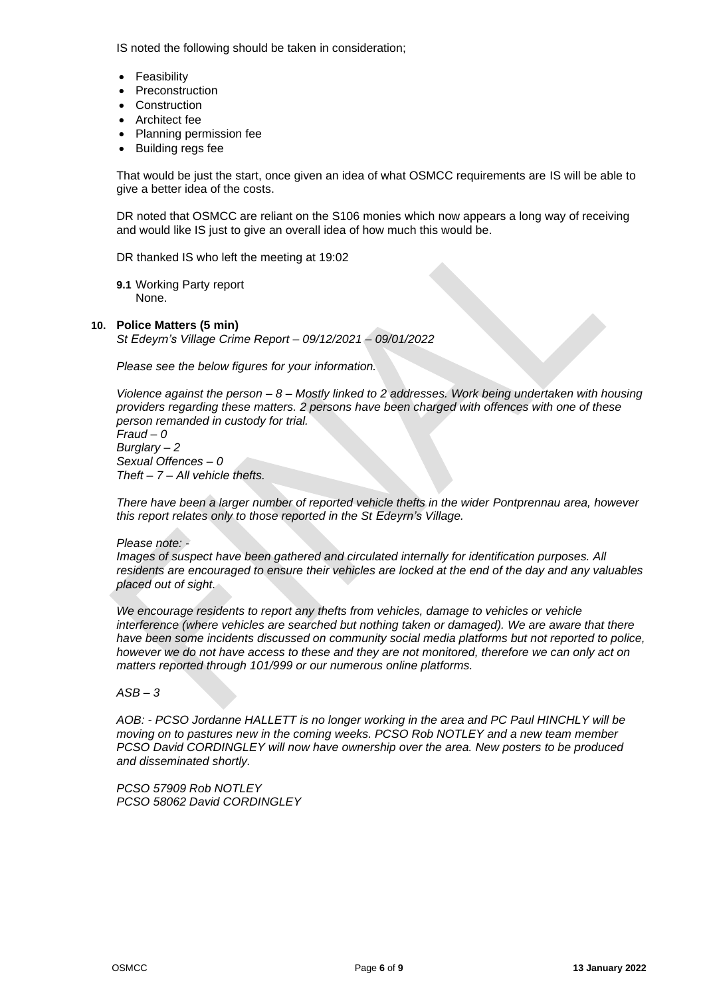IS noted the following should be taken in consideration;

- **Feasibility**
- **Preconstruction**
- **Construction**
- Architect fee
- Planning permission fee
- Building regs fee

That would be just the start, once given an idea of what OSMCC requirements are IS will be able to give a better idea of the costs.

DR noted that OSMCC are reliant on the S106 monies which now appears a long way of receiving and would like IS just to give an overall idea of how much this would be.

DR thanked IS who left the meeting at 19:02

**9.1** Working Party report None.

#### **10. Police Matters (5 min)**

*St Edeyrn's Village Crime Report – 09/12/2021 – 09/01/2022*

*Please see the below figures for your information.*

*Violence against the person – 8 – Mostly linked to 2 addresses. Work being undertaken with housing providers regarding these matters. 2 persons have been charged with offences with one of these person remanded in custody for trial.*

*Fraud – 0 Burglary – 2 Sexual Offences – 0 Theft – 7 – All vehicle thefts.* 

*There have been a larger number of reported vehicle thefts in the wider Pontprennau area, however this report relates only to those reported in the St Edeyrn's Village.* 

#### *Please note: -*

*Images of suspect have been gathered and circulated internally for identification purposes. All residents are encouraged to ensure their vehicles are locked at the end of the day and any valuables placed out of sight.* 

*We encourage residents to report any thefts from vehicles, damage to vehicles or vehicle interference (where vehicles are searched but nothing taken or damaged). We are aware that there have been some incidents discussed on community social media platforms but not reported to police, however we do not have access to these and they are not monitored, therefore we can only act on matters reported through 101/999 or our numerous online platforms.* 

# *ASB – 3*

*AOB: - PCSO Jordanne HALLETT is no longer working in the area and PC Paul HINCHLY will be moving on to pastures new in the coming weeks. PCSO Rob NOTLEY and a new team member PCSO David CORDINGLEY will now have ownership over the area. New posters to be produced and disseminated shortly.*

*PCSO 57909 Rob NOTLEY PCSO 58062 David CORDINGLEY*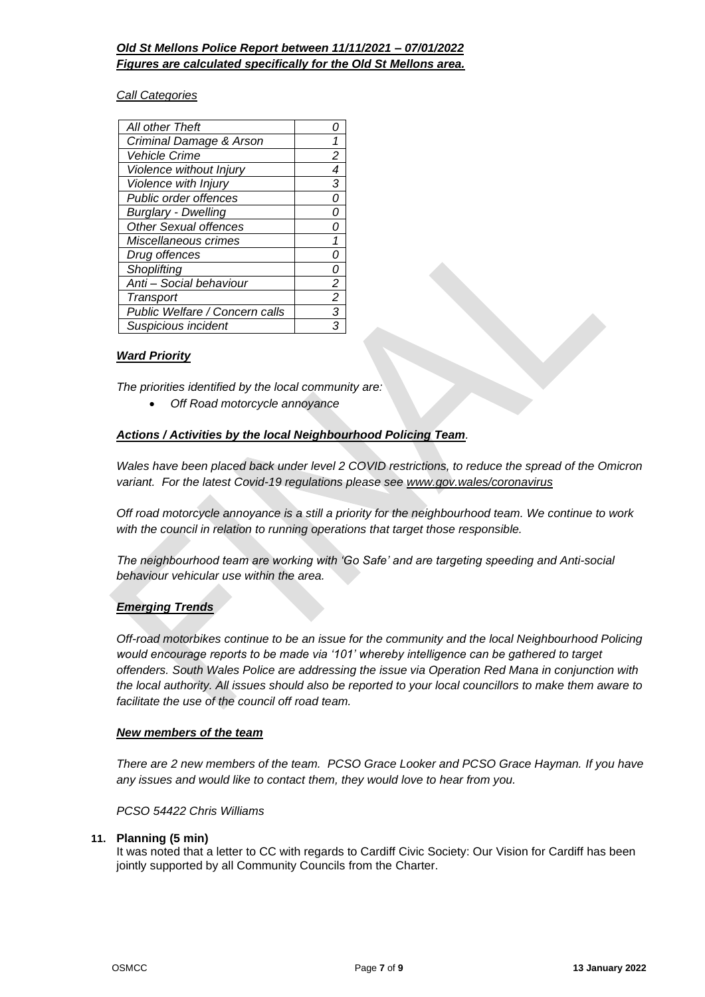# *Old St Mellons Police Report between 11/11/2021 – 07/01/2022 Figures are calculated specifically for the Old St Mellons area.*

# *Call Categories*

| All other Theft                |   |
|--------------------------------|---|
| Criminal Damage & Arson        |   |
| Vehicle Crime                  | 2 |
| Violence without Injury        |   |
| Violence with Injury           | 3 |
| <b>Public order offences</b>   | N |
| <b>Burglary - Dwelling</b>     |   |
| <b>Other Sexual offences</b>   |   |
| Miscellaneous crimes           |   |
| Drug offences                  |   |
| Shoplifting                    |   |
| Anti - Social behaviour        | 2 |
| Transport                      | 2 |
| Public Welfare / Concern calls | 3 |
| Suspicious incident            |   |
|                                |   |

# *Ward Priority*

*The priorities identified by the local community are:*

• *Off Road motorcycle annoyance*

# *Actions / Activities by the local Neighbourhood Policing Team.*

*Wales have been placed back under level 2 COVID restrictions, to reduce the spread of the Omicron variant. For the latest Covid-19 regulations please see [www.gov.wales/coronavirus](http://www.gov.wales/coronavirus)*

*Off road motorcycle annoyance is a still a priority for the neighbourhood team. We continue to work with the council in relation to running operations that target those responsible.* 

*The neighbourhood team are working with 'Go Safe' and are targeting speeding and Anti-social behaviour vehicular use within the area.* 

#### *Emerging Trends*

*Off-road motorbikes continue to be an issue for the community and the local Neighbourhood Policing would encourage reports to be made via '101' whereby intelligence can be gathered to target offenders. South Wales Police are addressing the issue via Operation Red Mana in conjunction with the local authority. All issues should also be reported to your local councillors to make them aware to facilitate the use of the council off road team.*

#### *New members of the team*

*There are 2 new members of the team. PCSO Grace Looker and PCSO Grace Hayman. If you have any issues and would like to contact them, they would love to hear from you.*

#### *PCSO 54422 Chris Williams*

#### **11. Planning (5 min)**

It was noted that a letter to CC with regards to Cardiff Civic Society: Our Vision for Cardiff has been jointly supported by all Community Councils from the Charter.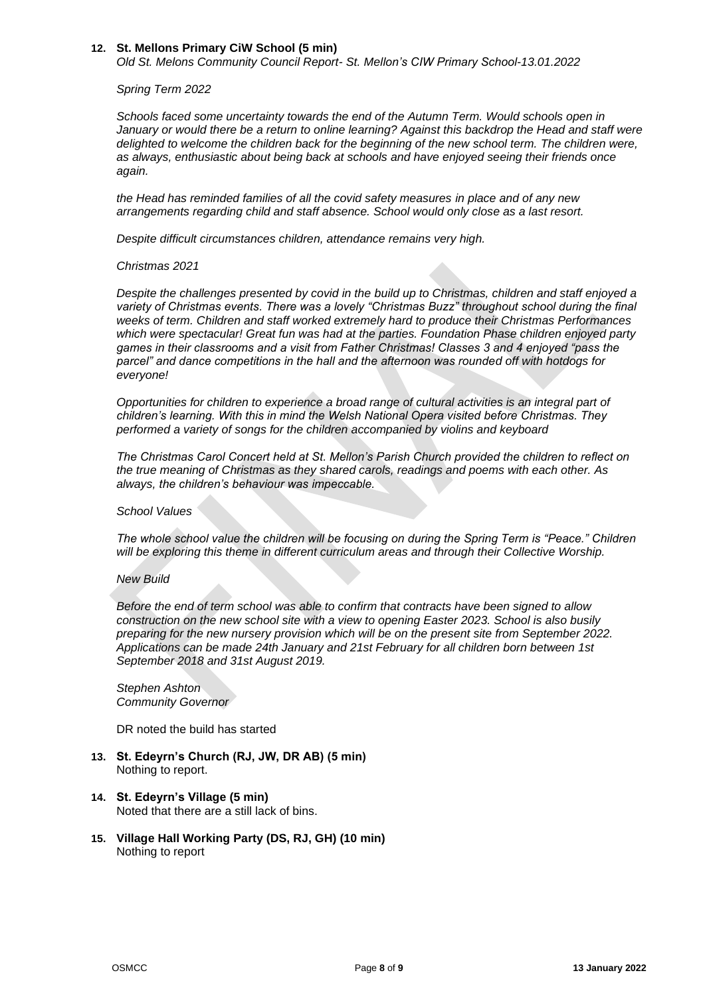#### **12. St. Mellons Primary CiW School (5 min)**

*Old St. Melons Community Council Report- St. Mellon's CIW Primary School-13.01.2022*

#### *Spring Term 2022*

*Schools faced some uncertainty towards the end of the Autumn Term. Would schools open in January or would there be a return to online learning? Against this backdrop the Head and staff were delighted to welcome the children back for the beginning of the new school term. The children were, as always, enthusiastic about being back at schools and have enjoyed seeing their friends once again.*

*the Head has reminded families of all the covid safety measures in place and of any new arrangements regarding child and staff absence. School would only close as a last resort.*

*Despite difficult circumstances children, attendance remains very high.*

#### *Christmas 2021*

*Despite the challenges presented by covid in the build up to Christmas, children and staff enjoyed a variety of Christmas events. There was a lovely "Christmas Buzz" throughout school during the final weeks of term. Children and staff worked extremely hard to produce their Christmas Performances which were spectacular! Great fun was had at the parties. Foundation Phase children enjoyed party games in their classrooms and a visit from Father Christmas! Classes 3 and 4 enjoyed "pass the parcel" and dance competitions in the hall and the afternoon was rounded off with hotdogs for everyone!*

*Opportunities for children to experience a broad range of cultural activities is an integral part of children's learning. With this in mind the Welsh National Opera visited before Christmas. They performed a variety of songs for the children accompanied by violins and keyboard*

*The Christmas Carol Concert held at St. Mellon's Parish Church provided the children to reflect on the true meaning of Christmas as they shared carols, readings and poems with each other. As always, the children's behaviour was impeccable.* 

#### *School Values*

*The whole school value the children will be focusing on during the Spring Term is "Peace." Children will be exploring this theme in different curriculum areas and through their Collective Worship.*

#### *New Build*

*Before the end of term school was able to confirm that contracts have been signed to allow construction on the new school site with a view to opening Easter 2023. School is also busily preparing for the new nursery provision which will be on the present site from September 2022. Applications can be made 24th January and 21st February for all children born between 1st September 2018 and 31st August 2019.*

*Stephen Ashton Community Governor*

DR noted the build has started

- **13. St. Edeyrn's Church (RJ, JW, DR AB) (5 min)** Nothing to report.
- **14. St. Edeyrn's Village (5 min)** Noted that there are a still lack of bins.
- **15. Village Hall Working Party (DS, RJ, GH) (10 min)** Nothing to report